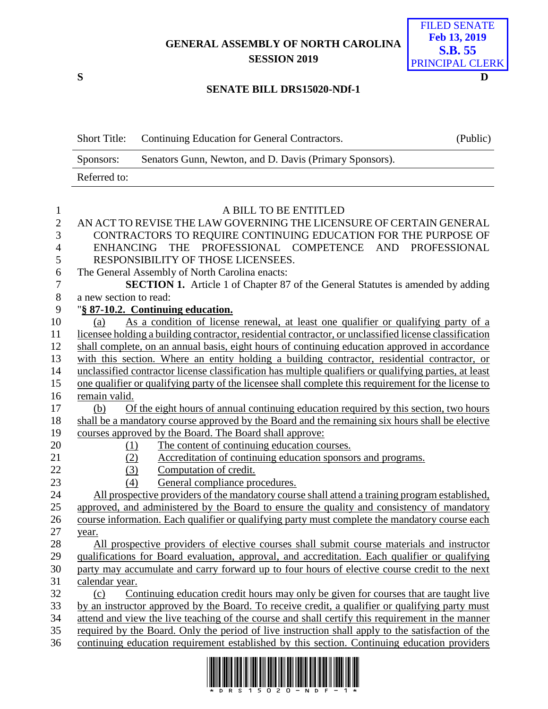## **GENERAL ASSEMBLY OF NORTH CAROLINA SESSION 2019**



#### **SENATE BILL DRS15020-NDf-1**

|              | Short Title: Continuing Education for General Contractors. | (Public) |
|--------------|------------------------------------------------------------|----------|
| Sponsors:    | Senators Gunn, Newton, and D. Davis (Primary Sponsors).    |          |
| Referred to: |                                                            |          |

## 1 A BILL TO BE ENTITLED<br>2 AN ACT TO REVISE THE LAW GOVERNING THE LICEN AN ACT TO REVISE THE LAW GOVERNING THE LICENSURE OF CERTAIN GENERAL CONTRACTORS TO REQUIRE CONTINUING EDUCATION FOR THE PURPOSE OF ENHANCING THE PROFESSIONAL COMPETENCE AND PROFESSIONAL RESPONSIBILITY OF THOSE LICENSEES. The General Assembly of North Carolina enacts: **SECTION 1.** Article 1 of Chapter 87 of the General Statutes is amended by adding a new section to read: "**§ 87-10.2. Continuing education.** (a) As a condition of license renewal, at least one qualifier or qualifying party of a licensee holding a building contractor, residential contractor, or unclassified license classification shall complete, on an annual basis, eight hours of continuing education approved in accordance with this section. Where an entity holding a building contractor, residential contractor, or unclassified contractor license classification has multiple qualifiers or qualifying parties, at least one qualifier or qualifying party of the licensee shall complete this requirement for the license to remain valid. (b) Of the eight hours of annual continuing education required by this section, two hours shall be a mandatory course approved by the Board and the remaining six hours shall be elective courses approved by the Board. The Board shall approve: (1) The content of continuing education courses. (2) Accreditation of continuing education sponsors and programs. (3) Computation of credit. 23 (4) General compliance procedures. All prospective providers of the mandatory course shall attend a training program established, approved, and administered by the Board to ensure the quality and consistency of mandatory course information. Each qualifier or qualifying party must complete the mandatory course each year. All prospective providers of elective courses shall submit course materials and instructor qualifications for Board evaluation, approval, and accreditation. Each qualifier or qualifying party may accumulate and carry forward up to four hours of elective course credit to the next calendar year. (c) Continuing education credit hours may only be given for courses that are taught live by an instructor approved by the Board. To receive credit, a qualifier or qualifying party must attend and view the live teaching of the course and shall certify this requirement in the manner required by the Board. Only the period of live instruction shall apply to the satisfaction of the continuing education requirement established by this section. Continuing education providers

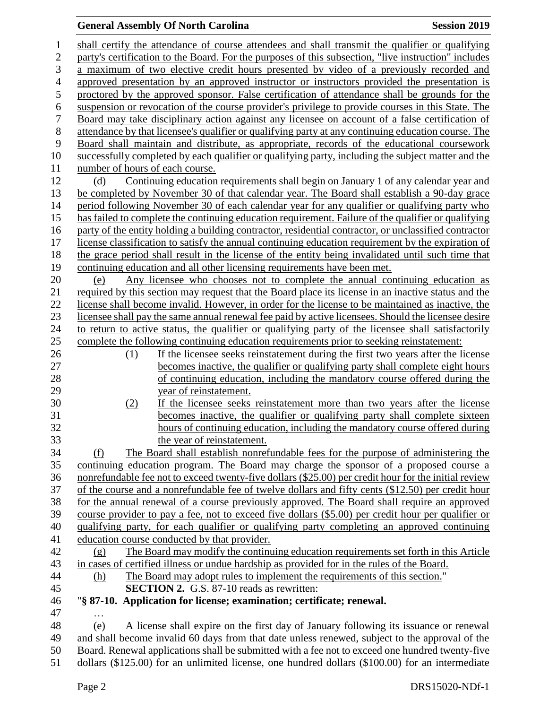# **General Assembly Of North Carolina Session 2019**

| 1                | shall certify the attendance of course attendees and shall transmit the qualifier or qualifying       |
|------------------|-------------------------------------------------------------------------------------------------------|
| $\mathbf{2}$     | party's certification to the Board. For the purposes of this subsection, "live instruction" includes  |
| 3                | a maximum of two elective credit hours presented by video of a previously recorded and                |
| $\overline{4}$   | approved presentation by an approved instructor or instructors provided the presentation is           |
| 5                | proctored by the approved sponsor. False certification of attendance shall be grounds for the         |
| 6                | suspension or revocation of the course provider's privilege to provide courses in this State. The     |
| $\boldsymbol{7}$ | Board may take disciplinary action against any licensee on account of a false certification of        |
| $8\,$            | attendance by that licensee's qualifier or qualifying party at any continuing education course. The   |
| 9                | Board shall maintain and distribute, as appropriate, records of the educational coursework            |
| 10               | successfully completed by each qualifier or qualifying party, including the subject matter and the    |
| 11               | number of hours of each course.                                                                       |
| 12               | Continuing education requirements shall begin on January 1 of any calendar year and<br>(d)            |
| 13               | be completed by November 30 of that calendar year. The Board shall establish a 90-day grace           |
| 14               | period following November 30 of each calendar year for any qualifier or qualifying party who          |
| 15               | has failed to complete the continuing education requirement. Failure of the qualifier or qualifying   |
| 16               | party of the entity holding a building contractor, residential contractor, or unclassified contractor |
| 17               | license classification to satisfy the annual continuing education requirement by the expiration of    |
| 18               | the grace period shall result in the license of the entity being invalidated until such time that     |
| 19               | continuing education and all other licensing requirements have been met.                              |
| 20               | Any licensee who chooses not to complete the annual continuing education as<br>(e)                    |
| 21               | required by this section may request that the Board place its license in an inactive status and the   |
| 22               | license shall become invalid. However, in order for the license to be maintained as inactive, the     |
| 23               | licensee shall pay the same annual renewal fee paid by active licensees. Should the licensee desire   |
| 24               | to return to active status, the qualifier or qualifying party of the licensee shall satisfactorily    |
| 25               | complete the following continuing education requirements prior to seeking reinstatement:              |
| 26               | If the licensee seeks reinstatement during the first two years after the license<br>(1)               |
| 27               | becomes inactive, the qualifier or qualifying party shall complete eight hours                        |
| 28               | of continuing education, including the mandatory course offered during the                            |
| 29               | year of reinstatement.                                                                                |
| 30               | (2)<br>If the licensee seeks reinstatement more than two years after the license                      |
| 31               | becomes inactive, the qualifier or qualifying party shall complete sixteen                            |
| 32               | hours of continuing education, including the mandatory course offered during                          |
| 33               | the year of reinstatement.                                                                            |
| 34               | The Board shall establish nonrefundable fees for the purpose of administering the<br>(f)              |
| 35               | continuing education program. The Board may charge the sponsor of a proposed course a                 |
| 36               | nonrefundable fee not to exceed twenty-five dollars (\$25.00) per credit hour for the initial review  |
| 37               | of the course and a nonrefundable fee of twelve dollars and fifty cents (\$12.50) per credit hour     |
| 38               | for the annual renewal of a course previously approved. The Board shall require an approved           |
| 39               | course provider to pay a fee, not to exceed five dollars (\$5.00) per credit hour per qualifier or    |
| 40               | qualifying party, for each qualifier or qualifying party completing an approved continuing            |
| 41               | education course conducted by that provider.                                                          |
| 42               | The Board may modify the continuing education requirements set forth in this Article<br>(g)           |
| 43               | in cases of certified illness or undue hardship as provided for in the rules of the Board.            |
| 44               | The Board may adopt rules to implement the requirements of this section."<br>(h)                      |
| 45               | <b>SECTION 2.</b> G.S. 87-10 reads as rewritten:                                                      |
| 46               | "§ 87-10. Application for license; examination; certificate; renewal.                                 |
| 47               |                                                                                                       |
| 48               | A license shall expire on the first day of January following its issuance or renewal<br>(e)           |
| 49<br>50         | and shall become invalid 60 days from that date unless renewed, subject to the approval of the        |
| 51               | Board. Renewal applications shall be submitted with a fee not to exceed one hundred twenty-five       |
|                  | dollars (\$125.00) for an unlimited license, one hundred dollars (\$100.00) for an intermediate       |